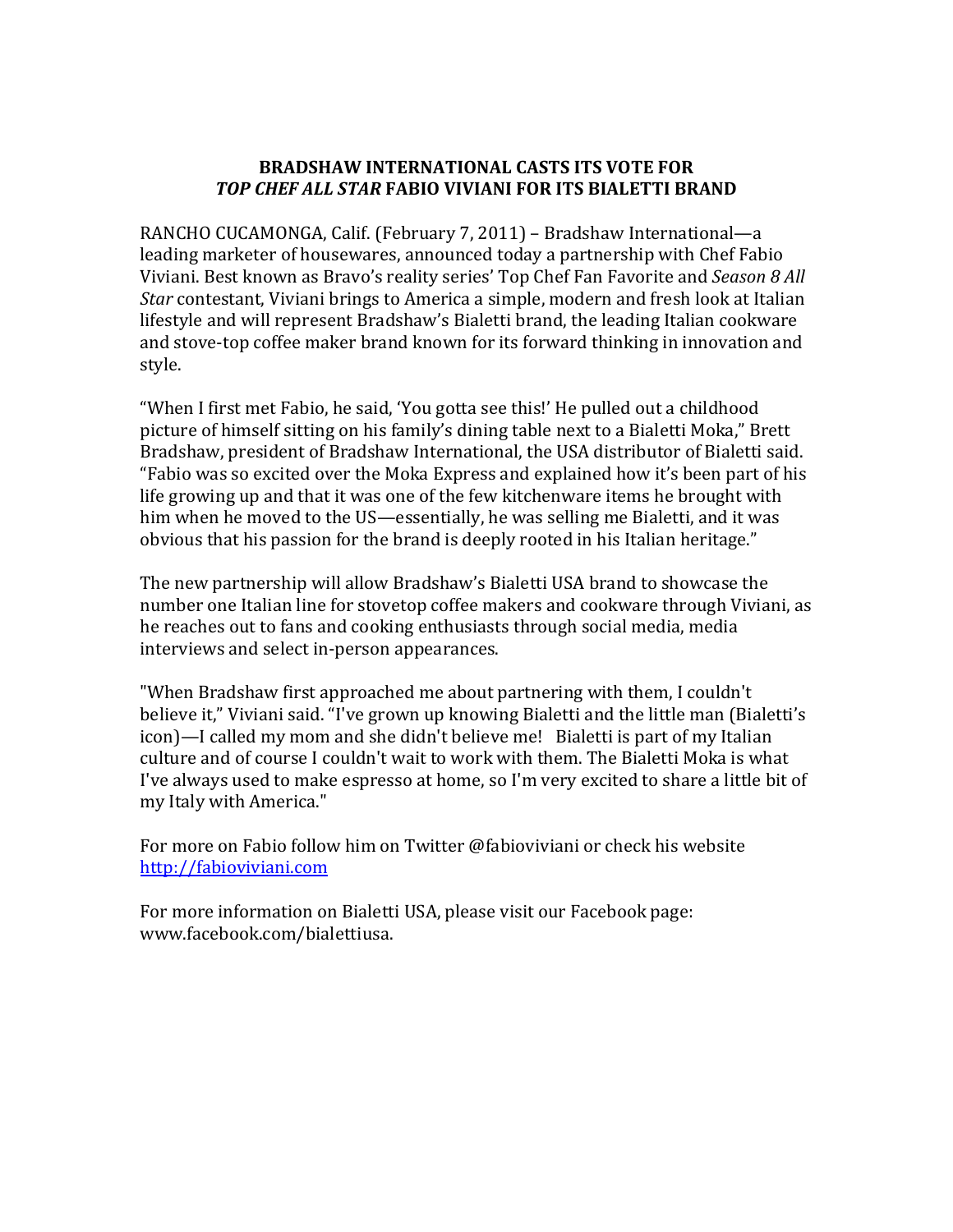## **BRADSHAW INTERNATIONAL CASTS ITS VOTE FOR**  *TOP CHEF ALL STAR* **FABIO VIVIANI FOR ITS BIALETTI BRAND**

RANCHO CUCAMONGA, Calif. (February 7, 2011) – Bradshaw International—a leading marketer of housewares, announced today a partnership with Chef Fabio Viviani. Best known as Bravo's reality series' Top Chef Fan Favorite and *Season 8 All Star* contestant, Viviani brings to America a simple, modern and fresh look at Italian lifestyle and will represent Bradshaw's Bialetti brand, the leading Italian cookware and stove-top coffee maker brand known for its forward thinking in innovation and style.

"When I first met Fabio, he said, 'You gotta see this!' He pulled out a childhood picture of himself sitting on his family's dining table next to a Bialetti Moka," Brett Bradshaw, president of Bradshaw International, the USA distributor of Bialetti said. "Fabio was so excited over the Moka Express and explained how it's been part of his life growing up and that it was one of the few kitchenware items he brought with him when he moved to the US—essentially, he was selling me Bialetti, and it was obvious that his passion for the brand is deeply rooted in his Italian heritage."

The new partnership will allow Bradshaw's Bialetti USA brand to showcase the number one Italian line for stovetop coffee makers and cookware through Viviani, as he reaches out to fans and cooking enthusiasts through social media, media interviews and select in-person appearances.

"When Bradshaw first approached me about partnering with them, I couldn't believe it," Viviani said. "I've grown up knowing Bialetti and the little man (Bialetti's icon)—I called my mom and she didn't believe me! Bialetti is part of my Italian culture and of course I couldn't wait to work with them. The Bialetti Moka is what I've always used to make espresso at home, so I'm very excited to share a little bit of my Italy with America."

For more on Fabio follow him on Twitter @fabioviviani or check his website [http://fabioviviani.com](http://fabioviviani.com/)

For more information on Bialetti USA, please visit our Facebook page: [www.facebook.com/bialettiusa.](http://www.facebook.com/bialettiusa)